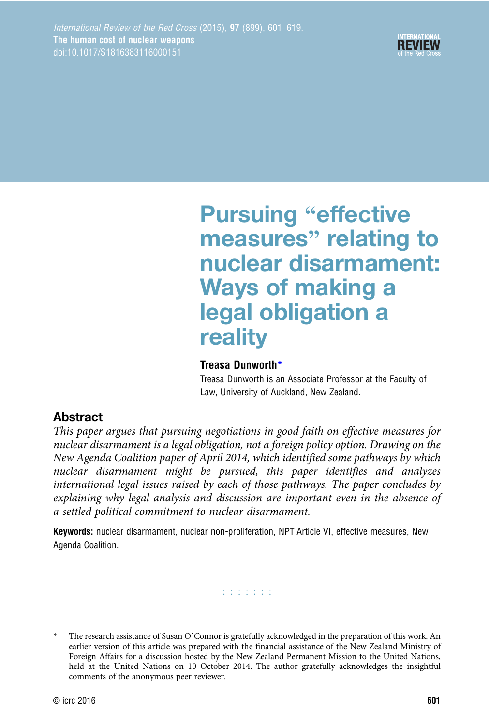

# Pursuing "effective measures" relating to nuclear disarmament: Ways of making a legal obligation a reality

#### Treasa Dunworth\*

Treasa Dunworth is an Associate Professor at the Faculty of Law, University of Auckland, New Zealand.

## Abstract

This paper argues that pursuing negotiations in good faith on effective measures for nuclear disarmament is a legal obligation, not a foreign policy option. Drawing on the New Agenda Coalition paper of April 2014, which identified some pathways by which nuclear disarmament might be pursued, this paper identifies and analyzes international legal issues raised by each of those pathways. The paper concludes by explaining why legal analysis and discussion are important even in the absence of a settled political commitment to nuclear disarmament.

Keywords: nuclear disarmament, nuclear non-proliferation, NPT Article VI, effective measures, New Agenda Coalition.

#### **Editoria**

The research assistance of Susan O'Connor is gratefully acknowledged in the preparation of this work. An earlier version of this article was prepared with the financial assistance of the New Zealand Ministry of Foreign Affairs for a discussion hosted by the New Zealand Permanent Mission to the United Nations, held at the United Nations on 10 October 2014. The author gratefully acknowledges the insightful comments of the anonymous peer reviewer.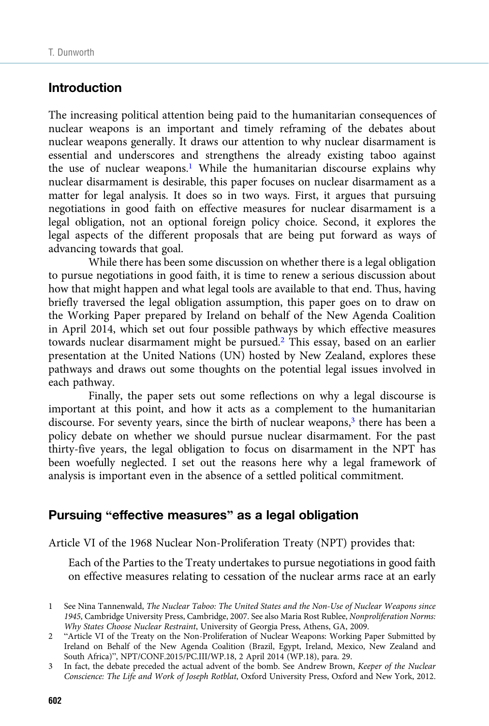## Introduction

The increasing political attention being paid to the humanitarian consequences of nuclear weapons is an important and timely reframing of the debates about nuclear weapons generally. It draws our attention to why nuclear disarmament is essential and underscores and strengthens the already existing taboo against the use of nuclear weapons.<sup>1</sup> While the humanitarian discourse explains why nuclear disarmament is desirable, this paper focuses on nuclear disarmament as a matter for legal analysis. It does so in two ways. First, it argues that pursuing negotiations in good faith on effective measures for nuclear disarmament is a legal obligation, not an optional foreign policy choice. Second, it explores the legal aspects of the different proposals that are being put forward as ways of advancing towards that goal.

While there has been some discussion on whether there is a legal obligation to pursue negotiations in good faith, it is time to renew a serious discussion about how that might happen and what legal tools are available to that end. Thus, having briefly traversed the legal obligation assumption, this paper goes on to draw on the Working Paper prepared by Ireland on behalf of the New Agenda Coalition in April 2014, which set out four possible pathways by which effective measures towards nuclear disarmament might be pursued.<sup>2</sup> This essay, based on an earlier presentation at the United Nations (UN) hosted by New Zealand, explores these pathways and draws out some thoughts on the potential legal issues involved in each pathway.

Finally, the paper sets out some reflections on why a legal discourse is important at this point, and how it acts as a complement to the humanitarian discourse. For seventy years, since the birth of nuclear weapons,<sup>3</sup> there has been a policy debate on whether we should pursue nuclear disarmament. For the past thirty-five years, the legal obligation to focus on disarmament in the NPT has been woefully neglected. I set out the reasons here why a legal framework of analysis is important even in the absence of a settled political commitment.

## Pursuing "effective measures" as a legal obligation

Article VI of the 1968 Nuclear Non-Proliferation Treaty (NPT) provides that:

Each of the Parties to the Treaty undertakes to pursue negotiations in good faith on effective measures relating to cessation of the nuclear arms race at an early

<sup>1</sup> See Nina Tannenwald, The Nuclear Taboo: The United States and the Non-Use of Nuclear Weapons since 1945, Cambridge University Press, Cambridge, 2007. See also Maria Rost Rublee, Nonproliferation Norms: Why States Choose Nuclear Restraint, University of Georgia Press, Athens, GA, 2009.

<sup>2</sup> "Article VI of the Treaty on the Non-Proliferation of Nuclear Weapons: Working Paper Submitted by Ireland on Behalf of the New Agenda Coalition (Brazil, Egypt, Ireland, Mexico, New Zealand and South Africa)", NPT/CONF.2015/PC.III/WP.18, 2 April 2014 (WP.18), para. 29.

<sup>3</sup> In fact, the debate preceded the actual advent of the bomb. See Andrew Brown, Keeper of the Nuclear Conscience: The Life and Work of Joseph Rotblat, Oxford University Press, Oxford and New York, 2012.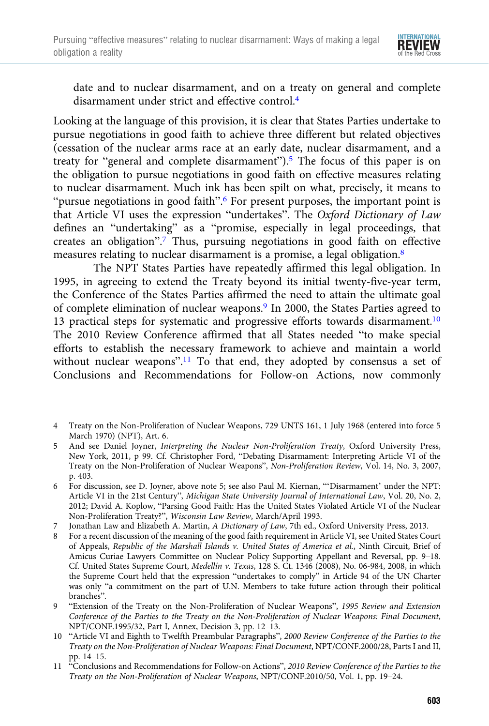

date and to nuclear disarmament, and on a treaty on general and complete disarmament under strict and effective control.4

Looking at the language of this provision, it is clear that States Parties undertake to pursue negotiations in good faith to achieve three different but related objectives (cessation of the nuclear arms race at an early date, nuclear disarmament, and a treaty for "general and complete disarmament").<sup>5</sup> The focus of this paper is on the obligation to pursue negotiations in good faith on effective measures relating to nuclear disarmament. Much ink has been spilt on what, precisely, it means to "pursue negotiations in good faith".<sup>6</sup> For present purposes, the important point is that Article VI uses the expression "undertakes". The Oxford Dictionary of Law defines an "undertaking" as a "promise, especially in legal proceedings, that creates an obligation". <sup>7</sup> Thus, pursuing negotiations in good faith on effective measures relating to nuclear disarmament is a promise, a legal obligation.<sup>8</sup>

The NPT States Parties have repeatedly affirmed this legal obligation. In 1995, in agreeing to extend the Treaty beyond its initial twenty-five-year term, the Conference of the States Parties affirmed the need to attain the ultimate goal of complete elimination of nuclear weapons.9 In 2000, the States Parties agreed to 13 practical steps for systematic and progressive efforts towards disarmament.<sup>10</sup> The 2010 Review Conference affirmed that all States needed "to make special efforts to establish the necessary framework to achieve and maintain a world without nuclear weapons".<sup>11</sup> To that end, they adopted by consensus a set of Conclusions and Recommendations for Follow-on Actions, now commonly

- 4 Treaty on the Non-Proliferation of Nuclear Weapons, 729 UNTS 161, 1 July 1968 (entered into force 5 March 1970) (NPT), Art. 6.
- 5 And see Daniel Joyner, Interpreting the Nuclear Non-Proliferation Treaty, Oxford University Press, New York, 2011, p 99. Cf. Christopher Ford, "Debating Disarmament: Interpreting Article VI of the Treaty on the Non-Proliferation of Nuclear Weapons", Non-Proliferation Review, Vol. 14, No. 3, 2007, p. 403.
- 6 For discussion, see D. Joyner, above note 5; see also Paul M. Kiernan, "'Disarmament' under the NPT: Article VI in the 21st Century", Michigan State University Journal of International Law, Vol. 20, No. 2, 2012; David A. Koplow, "Parsing Good Faith: Has the United States Violated Article VI of the Nuclear Non-Proliferation Treaty?", Wisconsin Law Review, March/April 1993.
- 7 Jonathan Law and Elizabeth A. Martin, A Dictionary of Law, 7th ed., Oxford University Press, 2013.
- 8 For a recent discussion of the meaning of the good faith requirement in Article VI, see United States Court of Appeals, Republic of the Marshall Islands v. United States of America et al., Ninth Circuit, Brief of Amicus Curiae Lawyers Committee on Nuclear Policy Supporting Appellant and Reversal, pp. 9–18. Cf. United States Supreme Court, Medellín v. Texas, 128 S. Ct. 1346 (2008), No. 06-984, 2008, in which the Supreme Court held that the expression "undertakes to comply" in Article 94 of the UN Charter was only "a commitment on the part of U.N. Members to take future action through their political branches".
- 9 "Extension of the Treaty on the Non-Proliferation of Nuclear Weapons", 1995 Review and Extension Conference of the Parties to the Treaty on the Non-Proliferation of Nuclear Weapons: Final Document, NPT/CONF.1995/32, Part I, Annex, Decision 3, pp. 12–13.
- 10 "Article VI and Eighth to Twelfth Preambular Paragraphs", 2000 Review Conference of the Parties to the Treaty on the Non-Proliferation of Nuclear Weapons: Final Document, NPT/CONF.2000/28, Parts I and II, pp. 14–15.
- 11 "Conclusions and Recommendations for Follow-on Actions", 2010 Review Conference of the Parties to the Treaty on the Non-Proliferation of Nuclear Weapons, NPT/CONF.2010/50, Vol. 1, pp. 19–24.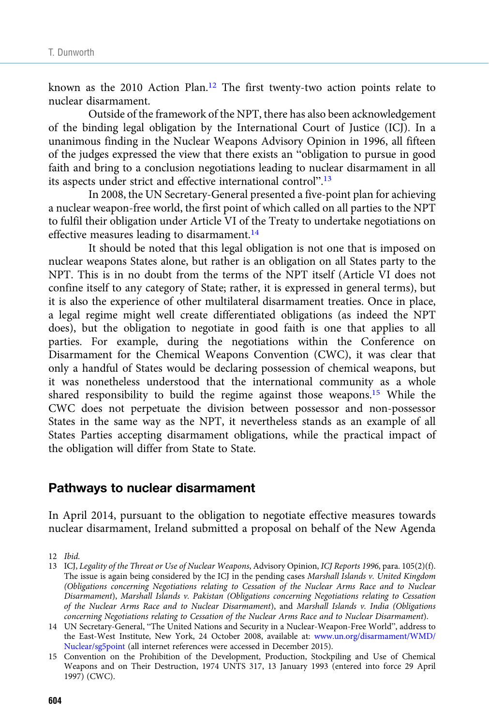known as the 2010 Action Plan.<sup>12</sup> The first twenty-two action points relate to nuclear disarmament.

Outside of the framework of the NPT, there has also been acknowledgement of the binding legal obligation by the International Court of Justice (ICJ). In a unanimous finding in the Nuclear Weapons Advisory Opinion in 1996, all fifteen of the judges expressed the view that there exists an "obligation to pursue in good faith and bring to a conclusion negotiations leading to nuclear disarmament in all its aspects under strict and effective international control".<sup>13</sup>

In 2008, the UN Secretary-General presented a five-point plan for achieving a nuclear weapon-free world, the first point of which called on all parties to the NPT to fulfil their obligation under Article VI of the Treaty to undertake negotiations on effective measures leading to disarmament.<sup>14</sup>

It should be noted that this legal obligation is not one that is imposed on nuclear weapons States alone, but rather is an obligation on all States party to the NPT. This is in no doubt from the terms of the NPT itself (Article VI does not confine itself to any category of State; rather, it is expressed in general terms), but it is also the experience of other multilateral disarmament treaties. Once in place, a legal regime might well create differentiated obligations (as indeed the NPT does), but the obligation to negotiate in good faith is one that applies to all parties. For example, during the negotiations within the Conference on Disarmament for the Chemical Weapons Convention (CWC), it was clear that only a handful of States would be declaring possession of chemical weapons, but it was nonetheless understood that the international community as a whole shared responsibility to build the regime against those weapons.15 While the CWC does not perpetuate the division between possessor and non-possessor States in the same way as the NPT, it nevertheless stands as an example of all States Parties accepting disarmament obligations, while the practical impact of the obligation will differ from State to State.

#### Pathways to nuclear disarmament

In April 2014, pursuant to the obligation to negotiate effective measures towards nuclear disarmament, Ireland submitted a proposal on behalf of the New Agenda

<sup>12</sup> Ibid.

<sup>13</sup> ICJ, Legality of the Threat or Use of Nuclear Weapons, Advisory Opinion, ICJ Reports 1996, para. 105(2)(f). The issue is again being considered by the ICJ in the pending cases Marshall Islands v. United Kingdom (Obligations concerning Negotiations relating to Cessation of the Nuclear Arms Race and to Nuclear Disarmament), Marshall Islands v. Pakistan (Obligations concerning Negotiations relating to Cessation of the Nuclear Arms Race and to Nuclear Disarmament), and Marshall Islands v. India (Obligations concerning Negotiations relating to Cessation of the Nuclear Arms Race and to Nuclear Disarmament).

<sup>14</sup> UN Secretary-General, "The United Nations and Security in a Nuclear-Weapon-Free World", address to the East-West Institute, New York, 24 October 2008, available at: www.un.org/disarmament/WMD/ Nuclear/sg5point (all internet references were accessed in December 2015).

<sup>15</sup> Convention on the Prohibition of the Development, Production, Stockpiling and Use of Chemical Weapons and on Their Destruction, 1974 UNTS 317, 13 January 1993 (entered into force 29 April 1997) (CWC).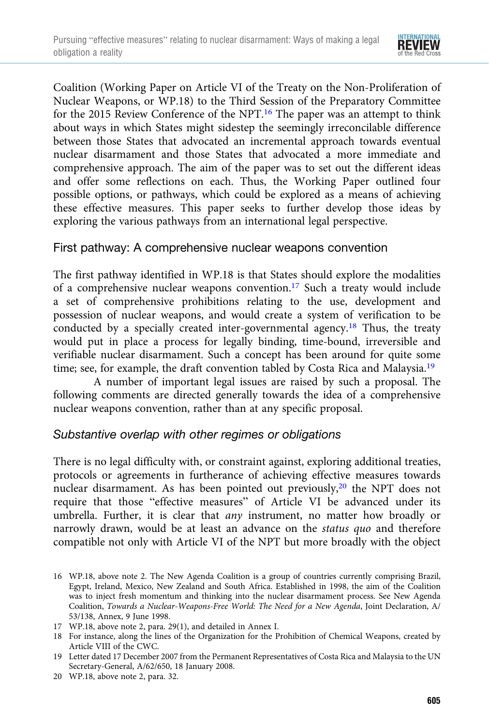

Coalition (Working Paper on Article VI of the Treaty on the Non-Proliferation of Nuclear Weapons, or WP.18) to the Third Session of the Preparatory Committee for the 2015 Review Conference of the NPT.16 The paper was an attempt to think about ways in which States might sidestep the seemingly irreconcilable difference between those States that advocated an incremental approach towards eventual nuclear disarmament and those States that advocated a more immediate and comprehensive approach. The aim of the paper was to set out the different ideas and offer some reflections on each. Thus, the Working Paper outlined four possible options, or pathways, which could be explored as a means of achieving these effective measures. This paper seeks to further develop those ideas by exploring the various pathways from an international legal perspective.

#### First pathway: A comprehensive nuclear weapons convention

The first pathway identified in WP.18 is that States should explore the modalities of a comprehensive nuclear weapons convention.17 Such a treaty would include a set of comprehensive prohibitions relating to the use, development and possession of nuclear weapons, and would create a system of verification to be conducted by a specially created inter-governmental agency.<sup>18</sup> Thus, the treaty would put in place a process for legally binding, time-bound, irreversible and verifiable nuclear disarmament. Such a concept has been around for quite some time; see, for example, the draft convention tabled by Costa Rica and Malaysia.<sup>19</sup>

A number of important legal issues are raised by such a proposal. The following comments are directed generally towards the idea of a comprehensive nuclear weapons convention, rather than at any specific proposal.

#### Substantive overlap with other regimes or obligations

There is no legal difficulty with, or constraint against, exploring additional treaties, protocols or agreements in furtherance of achieving effective measures towards nuclear disarmament. As has been pointed out previously,20 the NPT does not require that those "effective measures" of Article VI be advanced under its umbrella. Further, it is clear that any instrument, no matter how broadly or narrowly drawn, would be at least an advance on the status quo and therefore compatible not only with Article VI of the NPT but more broadly with the object

16 WP.18, above note 2. The New Agenda Coalition is a group of countries currently comprising Brazil, Egypt, Ireland, Mexico, New Zealand and South Africa. Established in 1998, the aim of the Coalition was to inject fresh momentum and thinking into the nuclear disarmament process. See New Agenda Coalition, Towards a Nuclear-Weapons-Free World: The Need for a New Agenda, Joint Declaration, A/ 53/138, Annex, 9 June 1998.

20 WP.18, above note 2, para. 32.

<sup>17</sup> WP.18, above note 2, para. 29(1), and detailed in Annex I.

<sup>18</sup> For instance, along the lines of the Organization for the Prohibition of Chemical Weapons, created by Article VIII of the CWC.

<sup>19</sup> Letter dated 17 December 2007 from the Permanent Representatives of Costa Rica and Malaysia to the UN Secretary-General, A/62/650, 18 January 2008.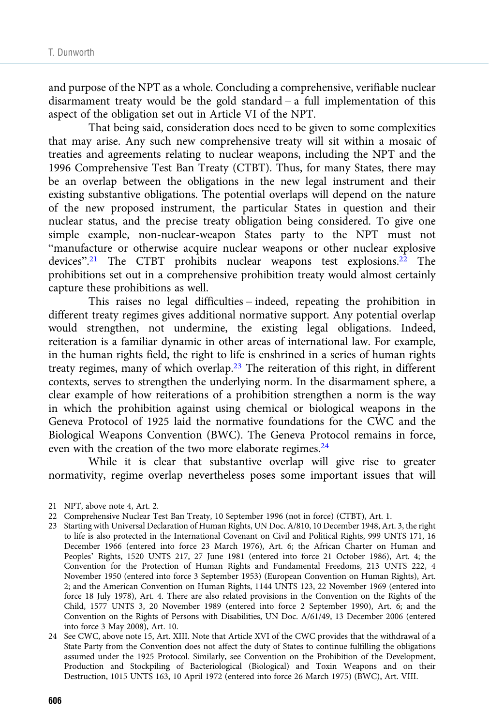and purpose of the NPT as a whole. Concluding a comprehensive, verifiable nuclear disarmament treaty would be the gold standard – a full implementation of this aspect of the obligation set out in Article VI of the NPT.

That being said, consideration does need to be given to some complexities that may arise. Any such new comprehensive treaty will sit within a mosaic of treaties and agreements relating to nuclear weapons, including the NPT and the 1996 Comprehensive Test Ban Treaty (CTBT). Thus, for many States, there may be an overlap between the obligations in the new legal instrument and their existing substantive obligations. The potential overlaps will depend on the nature of the new proposed instrument, the particular States in question and their nuclear status, and the precise treaty obligation being considered. To give one simple example, non-nuclear-weapon States party to the NPT must not "manufacture or otherwise acquire nuclear weapons or other nuclear explosive devices".<sup>21</sup> The CTBT prohibits nuclear weapons test explosions.<sup>22</sup> The prohibitions set out in a comprehensive prohibition treaty would almost certainly capture these prohibitions as well.

This raises no legal difficulties – indeed, repeating the prohibition in different treaty regimes gives additional normative support. Any potential overlap would strengthen, not undermine, the existing legal obligations. Indeed, reiteration is a familiar dynamic in other areas of international law. For example, in the human rights field, the right to life is enshrined in a series of human rights treaty regimes, many of which overlap.23 The reiteration of this right, in different contexts, serves to strengthen the underlying norm. In the disarmament sphere, a clear example of how reiterations of a prohibition strengthen a norm is the way in which the prohibition against using chemical or biological weapons in the Geneva Protocol of 1925 laid the normative foundations for the CWC and the Biological Weapons Convention (BWC). The Geneva Protocol remains in force, even with the creation of the two more elaborate regimes.<sup>24</sup>

While it is clear that substantive overlap will give rise to greater normativity, regime overlap nevertheless poses some important issues that will

<sup>21</sup> NPT, above note 4, Art. 2.

<sup>22</sup> Comprehensive Nuclear Test Ban Treaty, 10 September 1996 (not in force) (CTBT), Art. 1.

<sup>23</sup> Starting with Universal Declaration of Human Rights, UN Doc. A/810, 10 December 1948, Art. 3, the right to life is also protected in the International Covenant on Civil and Political Rights, 999 UNTS 171, 16 December 1966 (entered into force 23 March 1976), Art. 6; the African Charter on Human and Peoples' Rights, 1520 UNTS 217, 27 June 1981 (entered into force 21 October 1986), Art. 4; the Convention for the Protection of Human Rights and Fundamental Freedoms, 213 UNTS 222, 4 November 1950 (entered into force 3 September 1953) (European Convention on Human Rights), Art. 2; and the American Convention on Human Rights, 1144 UNTS 123, 22 November 1969 (entered into force 18 July 1978), Art. 4. There are also related provisions in the Convention on the Rights of the Child, 1577 UNTS 3, 20 November 1989 (entered into force 2 September 1990), Art. 6; and the Convention on the Rights of Persons with Disabilities, UN Doc. A/61/49, 13 December 2006 (entered into force 3 May 2008), Art. 10.

<sup>24</sup> See CWC, above note 15, Art. XIII. Note that Article XVI of the CWC provides that the withdrawal of a State Party from the Convention does not affect the duty of States to continue fulfilling the obligations assumed under the 1925 Protocol. Similarly, see Convention on the Prohibition of the Development, Production and Stockpiling of Bacteriological (Biological) and Toxin Weapons and on their Destruction, 1015 UNTS 163, 10 April 1972 (entered into force 26 March 1975) (BWC), Art. VIII.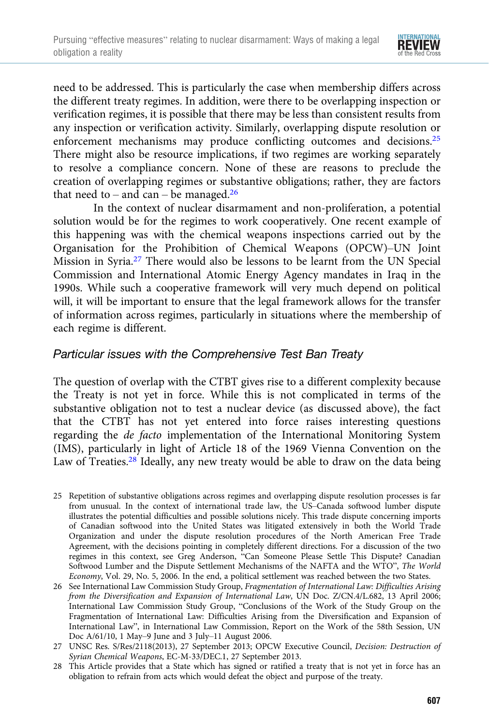

need to be addressed. This is particularly the case when membership differs across the different treaty regimes. In addition, were there to be overlapping inspection or verification regimes, it is possible that there may be less than consistent results from any inspection or verification activity. Similarly, overlapping dispute resolution or enforcement mechanisms may produce conflicting outcomes and decisions.<sup>25</sup> There might also be resource implications, if two regimes are working separately to resolve a compliance concern. None of these are reasons to preclude the creation of overlapping regimes or substantive obligations; rather, they are factors that need to – and can – be managed.<sup>26</sup>

In the context of nuclear disarmament and non-proliferation, a potential solution would be for the regimes to work cooperatively. One recent example of this happening was with the chemical weapons inspections carried out by the Organisation for the Prohibition of Chemical Weapons (OPCW)–UN Joint Mission in Syria.27 There would also be lessons to be learnt from the UN Special Commission and International Atomic Energy Agency mandates in Iraq in the 1990s. While such a cooperative framework will very much depend on political will, it will be important to ensure that the legal framework allows for the transfer of information across regimes, particularly in situations where the membership of each regime is different.

#### Particular issues with the Comprehensive Test Ban Treaty

The question of overlap with the CTBT gives rise to a different complexity because the Treaty is not yet in force. While this is not complicated in terms of the substantive obligation not to test a nuclear device (as discussed above), the fact that the CTBT has not yet entered into force raises interesting questions regarding the de facto implementation of the International Monitoring System (IMS), particularly in light of Article 18 of the 1969 Vienna Convention on the Law of Treaties.28 Ideally, any new treaty would be able to draw on the data being

- 25 Repetition of substantive obligations across regimes and overlapping dispute resolution processes is far from unusual. In the context of international trade law, the US–Canada softwood lumber dispute illustrates the potential difficulties and possible solutions nicely. This trade dispute concerning imports of Canadian softwood into the United States was litigated extensively in both the World Trade Organization and under the dispute resolution procedures of the North American Free Trade Agreement, with the decisions pointing in completely different directions. For a discussion of the two regimes in this context, see Greg Anderson, "Can Someone Please Settle This Dispute? Canadian Softwood Lumber and the Dispute Settlement Mechanisms of the NAFTA and the WTO", The World Economy, Vol. 29, No. 5, 2006. In the end, a political settlement was reached between the two States.
- 26 See International Law Commission Study Group, Fragmentation of International Law: Difficulties Arising from the Diversification and Expansion of International Law, UN Doc. Z/CN.4/L.682, 13 April 2006; International Law Commission Study Group, "Conclusions of the Work of the Study Group on the Fragmentation of International Law: Difficulties Arising from the Diversification and Expansion of International Law", in International Law Commission, Report on the Work of the 58th Session, UN Doc A/61/10, 1 May–9 June and 3 July–11 August 2006.
- 27 UNSC Res. S/Res/2118(2013), 27 September 2013; OPCW Executive Council, Decision: Destruction of Syrian Chemical Weapons, EC-M-33/DEC.1, 27 September 2013.
- 28 This Article provides that a State which has signed or ratified a treaty that is not yet in force has an obligation to refrain from acts which would defeat the object and purpose of the treaty.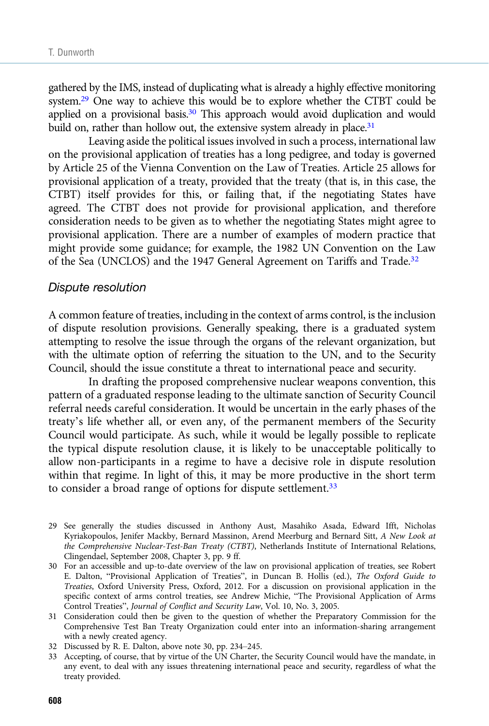gathered by the IMS, instead of duplicating what is already a highly effective monitoring system.<sup>29</sup> One way to achieve this would be to explore whether the CTBT could be applied on a provisional basis. $30$  This approach would avoid duplication and would build on, rather than hollow out, the extensive system already in place.<sup>31</sup>

Leaving aside the political issues involved in such a process, international law on the provisional application of treaties has a long pedigree, and today is governed by Article 25 of the Vienna Convention on the Law of Treaties. Article 25 allows for provisional application of a treaty, provided that the treaty (that is, in this case, the CTBT) itself provides for this, or failing that, if the negotiating States have agreed. The CTBT does not provide for provisional application, and therefore consideration needs to be given as to whether the negotiating States might agree to provisional application. There are a number of examples of modern practice that might provide some guidance; for example, the 1982 UN Convention on the Law of the Sea (UNCLOS) and the 1947 General Agreement on Tariffs and Trade.<sup>32</sup>

#### Dispute resolution

A common feature of treaties, including in the context of arms control, is the inclusion of dispute resolution provisions. Generally speaking, there is a graduated system attempting to resolve the issue through the organs of the relevant organization, but with the ultimate option of referring the situation to the UN, and to the Security Council, should the issue constitute a threat to international peace and security.

In drafting the proposed comprehensive nuclear weapons convention, this pattern of a graduated response leading to the ultimate sanction of Security Council referral needs careful consideration. It would be uncertain in the early phases of the treaty's life whether all, or even any, of the permanent members of the Security Council would participate. As such, while it would be legally possible to replicate the typical dispute resolution clause, it is likely to be unacceptable politically to allow non-participants in a regime to have a decisive role in dispute resolution within that regime. In light of this, it may be more productive in the short term to consider a broad range of options for dispute settlement.<sup>33</sup>

- 29 See generally the studies discussed in Anthony Aust, Masahiko Asada, Edward Ifft, Nicholas Kyriakopoulos, Jenifer Mackby, Bernard Massinon, Arend Meerburg and Bernard Sitt, A New Look at the Comprehensive Nuclear-Test-Ban Treaty (CTBT), Netherlands Institute of International Relations, Clingendael, September 2008, Chapter 3, pp. 9 ff.
- 30 For an accessible and up-to-date overview of the law on provisional application of treaties, see Robert E. Dalton, "Provisional Application of Treaties", in Duncan B. Hollis (ed.), The Oxford Guide to Treaties, Oxford University Press, Oxford, 2012. For a discussion on provisional application in the specific context of arms control treaties, see Andrew Michie, "The Provisional Application of Arms Control Treaties", Journal of Conflict and Security Law, Vol. 10, No. 3, 2005.
- 31 Consideration could then be given to the question of whether the Preparatory Commission for the Comprehensive Test Ban Treaty Organization could enter into an information-sharing arrangement with a newly created agency.
- 32 Discussed by R. E. Dalton, above note 30, pp. 234–245.
- 33 Accepting, of course, that by virtue of the UN Charter, the Security Council would have the mandate, in any event, to deal with any issues threatening international peace and security, regardless of what the treaty provided.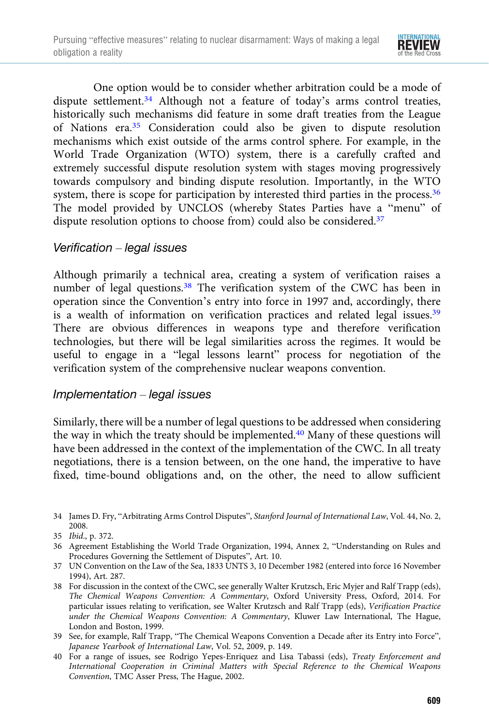

One option would be to consider whether arbitration could be a mode of dispute settlement.<sup>34</sup> Although not a feature of today's arms control treaties, historically such mechanisms did feature in some draft treaties from the League of Nations era.<sup>35</sup> Consideration could also be given to dispute resolution mechanisms which exist outside of the arms control sphere. For example, in the World Trade Organization (WTO) system, there is a carefully crafted and extremely successful dispute resolution system with stages moving progressively towards compulsory and binding dispute resolution. Importantly, in the WTO system, there is scope for participation by interested third parties in the process.<sup>36</sup> The model provided by UNCLOS (whereby States Parties have a "menu" of dispute resolution options to choose from) could also be considered.<sup>37</sup>

#### Verification – legal issues

Although primarily a technical area, creating a system of verification raises a number of legal questions.38 The verification system of the CWC has been in operation since the Convention's entry into force in 1997 and, accordingly, there is a wealth of information on verification practices and related legal issues.<sup>39</sup> There are obvious differences in weapons type and therefore verification technologies, but there will be legal similarities across the regimes. It would be useful to engage in a "legal lessons learnt" process for negotiation of the verification system of the comprehensive nuclear weapons convention.

#### Implementation – legal issues

Similarly, there will be a number of legal questions to be addressed when considering the way in which the treaty should be implemented.<sup>40</sup> Many of these questions will have been addressed in the context of the implementation of the CWC. In all treaty negotiations, there is a tension between, on the one hand, the imperative to have fixed, time-bound obligations and, on the other, the need to allow sufficient

<sup>34</sup> James D. Fry, "Arbitrating Arms Control Disputes", Stanford Journal of International Law, Vol. 44, No. 2, 2008.

<sup>35</sup> Ibid., p. 372.

<sup>36</sup> Agreement Establishing the World Trade Organization, 1994, Annex 2, "Understanding on Rules and Procedures Governing the Settlement of Disputes", Art. 10.

<sup>37</sup> UN Convention on the Law of the Sea, 1833 UNTS 3, 10 December 1982 (entered into force 16 November 1994), Art. 287.

<sup>38</sup> For discussion in the context of the CWC, see generally Walter Krutzsch, Eric Myjer and Ralf Trapp (eds), The Chemical Weapons Convention: A Commentary, Oxford University Press, Oxford, 2014. For particular issues relating to verification, see Walter Krutzsch and Ralf Trapp (eds), Verification Practice under the Chemical Weapons Convention: A Commentary, Kluwer Law International, The Hague, London and Boston, 1999.

<sup>39</sup> See, for example, Ralf Trapp, "The Chemical Weapons Convention a Decade after its Entry into Force", Japanese Yearbook of International Law, Vol. 52, 2009, p. 149.

<sup>40</sup> For a range of issues, see Rodrigo Yepes-Enriquez and Lisa Tabassi (eds), Treaty Enforcement and International Cooperation in Criminal Matters with Special Reference to the Chemical Weapons Convention, TMC Asser Press, The Hague, 2002.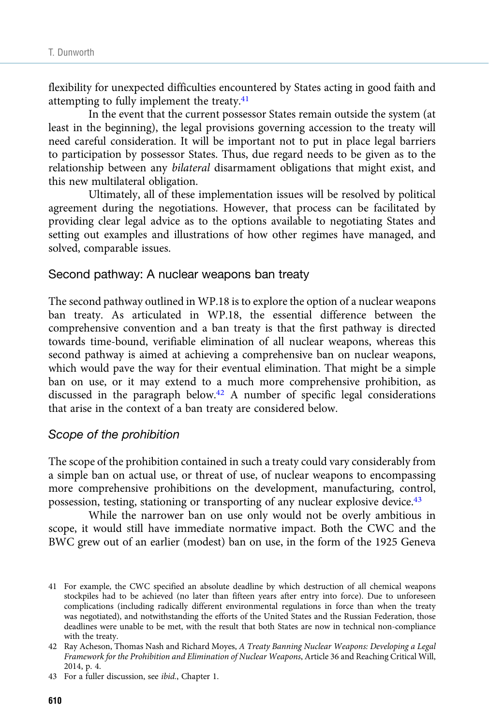flexibility for unexpected difficulties encountered by States acting in good faith and attempting to fully implement the treaty.<sup>41</sup>

In the event that the current possessor States remain outside the system (at least in the beginning), the legal provisions governing accession to the treaty will need careful consideration. It will be important not to put in place legal barriers to participation by possessor States. Thus, due regard needs to be given as to the relationship between any bilateral disarmament obligations that might exist, and this new multilateral obligation.

Ultimately, all of these implementation issues will be resolved by political agreement during the negotiations. However, that process can be facilitated by providing clear legal advice as to the options available to negotiating States and setting out examples and illustrations of how other regimes have managed, and solved, comparable issues.

#### Second pathway: A nuclear weapons ban treaty

The second pathway outlined in WP.18 is to explore the option of a nuclear weapons ban treaty. As articulated in WP.18, the essential difference between the comprehensive convention and a ban treaty is that the first pathway is directed towards time-bound, verifiable elimination of all nuclear weapons, whereas this second pathway is aimed at achieving a comprehensive ban on nuclear weapons, which would pave the way for their eventual elimination. That might be a simple ban on use, or it may extend to a much more comprehensive prohibition, as discussed in the paragraph below.<sup>42</sup> A number of specific legal considerations that arise in the context of a ban treaty are considered below.

#### Scope of the prohibition

The scope of the prohibition contained in such a treaty could vary considerably from a simple ban on actual use, or threat of use, of nuclear weapons to encompassing more comprehensive prohibitions on the development, manufacturing, control, possession, testing, stationing or transporting of any nuclear explosive device.<sup>43</sup>

While the narrower ban on use only would not be overly ambitious in scope, it would still have immediate normative impact. Both the CWC and the BWC grew out of an earlier (modest) ban on use, in the form of the 1925 Geneva

<sup>41</sup> For example, the CWC specified an absolute deadline by which destruction of all chemical weapons stockpiles had to be achieved (no later than fifteen years after entry into force). Due to unforeseen complications (including radically different environmental regulations in force than when the treaty was negotiated), and notwithstanding the efforts of the United States and the Russian Federation, those deadlines were unable to be met, with the result that both States are now in technical non-compliance with the treaty.

<sup>42</sup> Ray Acheson, Thomas Nash and Richard Moyes, A Treaty Banning Nuclear Weapons: Developing a Legal Framework for the Prohibition and Elimination of Nuclear Weapons, Article 36 and Reaching Critical Will, 2014, p. 4.

<sup>43</sup> For a fuller discussion, see ibid., Chapter 1.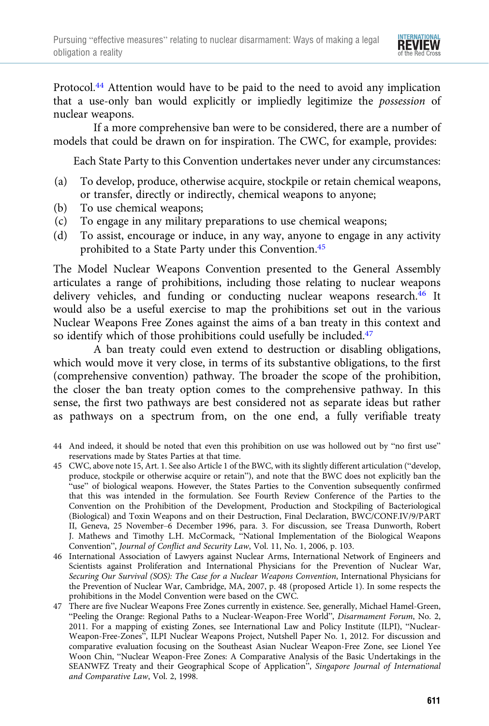

Protocol.44 Attention would have to be paid to the need to avoid any implication that a use-only ban would explicitly or impliedly legitimize the possession of nuclear weapons.

If a more comprehensive ban were to be considered, there are a number of models that could be drawn on for inspiration. The CWC, for example, provides:

Each State Party to this Convention undertakes never under any circumstances:

- (a) To develop, produce, otherwise acquire, stockpile or retain chemical weapons, or transfer, directly or indirectly, chemical weapons to anyone;
- (b) To use chemical weapons;
- (c) To engage in any military preparations to use chemical weapons;
- (d) To assist, encourage or induce, in any way, anyone to engage in any activity prohibited to a State Party under this Convention.<sup>45</sup>

The Model Nuclear Weapons Convention presented to the General Assembly articulates a range of prohibitions, including those relating to nuclear weapons delivery vehicles, and funding or conducting nuclear weapons research.<sup>46</sup> It would also be a useful exercise to map the prohibitions set out in the various Nuclear Weapons Free Zones against the aims of a ban treaty in this context and so identify which of those prohibitions could usefully be included.<sup>47</sup>

A ban treaty could even extend to destruction or disabling obligations, which would move it very close, in terms of its substantive obligations, to the first (comprehensive convention) pathway. The broader the scope of the prohibition, the closer the ban treaty option comes to the comprehensive pathway. In this sense, the first two pathways are best considered not as separate ideas but rather as pathways on a spectrum from, on the one end, a fully verifiable treaty

- 44 And indeed, it should be noted that even this prohibition on use was hollowed out by "no first use" reservations made by States Parties at that time.
- 45 CWC, above note 15, Art. 1. See also Article 1 of the BWC, with its slightly different articulation ("develop, produce, stockpile or otherwise acquire or retain"), and note that the BWC does not explicitly ban the "use" of biological weapons. However, the States Parties to the Convention subsequently confirmed that this was intended in the formulation. See Fourth Review Conference of the Parties to the Convention on the Prohibition of the Development, Production and Stockpiling of Bacteriological (Biological) and Toxin Weapons and on their Destruction, Final Declaration, BWC/CONF.IV/9/PART II, Geneva, 25 November–6 December 1996, para. 3. For discussion, see Treasa Dunworth, Robert J. Mathews and Timothy L.H. McCormack, "National Implementation of the Biological Weapons Convention", Journal of Conflict and Security Law, Vol. 11, No. 1, 2006, p. 103.
- 46 International Association of Lawyers against Nuclear Arms, International Network of Engineers and Scientists against Proliferation and International Physicians for the Prevention of Nuclear War, Securing Our Survival (SOS): The Case for a Nuclear Weapons Convention, International Physicians for the Prevention of Nuclear War, Cambridge, MA, 2007, p. 48 (proposed Article 1). In some respects the prohibitions in the Model Convention were based on the CWC.
- 47 There are five Nuclear Weapons Free Zones currently in existence. See, generally, Michael Hamel-Green, "Peeling the Orange: Regional Paths to a Nuclear-Weapon-Free World", Disarmament Forum, No. 2, 2011. For a mapping of existing Zones, see International Law and Policy Institute (ILPI), "Nuclear-Weapon-Free-Zones", ILPI Nuclear Weapons Project, Nutshell Paper No. 1, 2012. For discussion and comparative evaluation focusing on the Southeast Asian Nuclear Weapon-Free Zone, see Lionel Yee Woon Chin, "Nuclear Weapon-Free Zones: A Comparative Analysis of the Basic Undertakings in the SEANWFZ Treaty and their Geographical Scope of Application", Singapore Journal of International and Comparative Law, Vol. 2, 1998.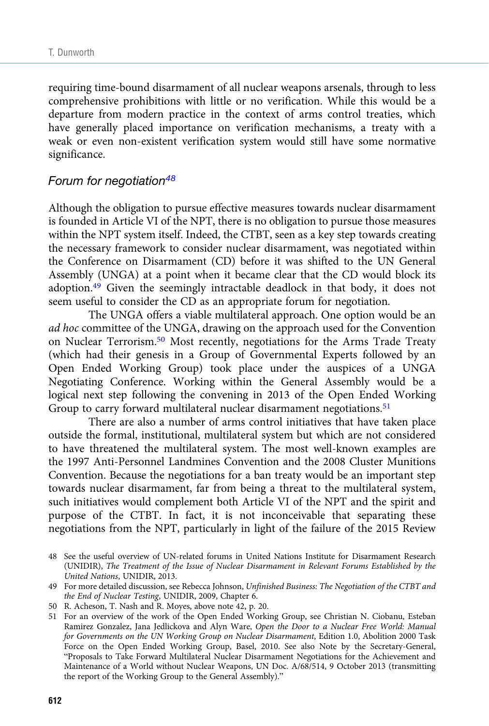requiring time-bound disarmament of all nuclear weapons arsenals, through to less comprehensive prohibitions with little or no verification. While this would be a departure from modern practice in the context of arms control treaties, which have generally placed importance on verification mechanisms, a treaty with a weak or even non-existent verification system would still have some normative significance.

#### Forum for negotiation<sup>48</sup>

Although the obligation to pursue effective measures towards nuclear disarmament is founded in Article VI of the NPT, there is no obligation to pursue those measures within the NPT system itself. Indeed, the CTBT, seen as a key step towards creating the necessary framework to consider nuclear disarmament, was negotiated within the Conference on Disarmament (CD) before it was shifted to the UN General Assembly (UNGA) at a point when it became clear that the CD would block its adoption.49 Given the seemingly intractable deadlock in that body, it does not seem useful to consider the CD as an appropriate forum for negotiation.

The UNGA offers a viable multilateral approach. One option would be an ad hoc committee of the UNGA, drawing on the approach used for the Convention on Nuclear Terrorism.50 Most recently, negotiations for the Arms Trade Treaty (which had their genesis in a Group of Governmental Experts followed by an Open Ended Working Group) took place under the auspices of a UNGA Negotiating Conference. Working within the General Assembly would be a logical next step following the convening in 2013 of the Open Ended Working Group to carry forward multilateral nuclear disarmament negotiations.<sup>51</sup>

There are also a number of arms control initiatives that have taken place outside the formal, institutional, multilateral system but which are not considered to have threatened the multilateral system. The most well-known examples are the 1997 Anti-Personnel Landmines Convention and the 2008 Cluster Munitions Convention. Because the negotiations for a ban treaty would be an important step towards nuclear disarmament, far from being a threat to the multilateral system, such initiatives would complement both Article VI of the NPT and the spirit and purpose of the CTBT. In fact, it is not inconceivable that separating these negotiations from the NPT, particularly in light of the failure of the 2015 Review

<sup>48</sup> See the useful overview of UN-related forums in United Nations Institute for Disarmament Research (UNIDIR), The Treatment of the Issue of Nuclear Disarmament in Relevant Forums Established by the United Nations, UNIDIR, 2013.

<sup>49</sup> For more detailed discussion, see Rebecca Johnson, Unfinished Business: The Negotiation of the CTBT and the End of Nuclear Testing, UNIDIR, 2009, Chapter 6.

<sup>50</sup> R. Acheson, T. Nash and R. Moyes, above note 42, p. 20.

<sup>51</sup> For an overview of the work of the Open Ended Working Group, see Christian N. Ciobanu, Esteban Ramirez Gonzalez, Jana Jedlickova and Alyn Ware, Open the Door to a Nuclear Free World: Manual for Governments on the UN Working Group on Nuclear Disarmament, Edition 1.0, Abolition 2000 Task Force on the Open Ended Working Group, Basel, 2010. See also Note by the Secretary-General, "Proposals to Take Forward Multilateral Nuclear Disarmament Negotiations for the Achievement and Maintenance of a World without Nuclear Weapons, UN Doc. A/68/514, 9 October 2013 (transmitting the report of the Working Group to the General Assembly)."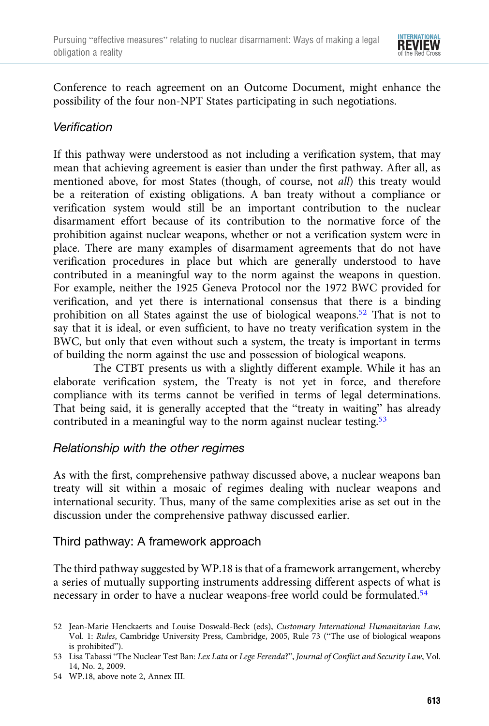

Conference to reach agreement on an Outcome Document, might enhance the possibility of the four non-NPT States participating in such negotiations.

## Verification

If this pathway were understood as not including a verification system, that may mean that achieving agreement is easier than under the first pathway. After all, as mentioned above, for most States (though, of course, not all) this treaty would be a reiteration of existing obligations. A ban treaty without a compliance or verification system would still be an important contribution to the nuclear disarmament effort because of its contribution to the normative force of the prohibition against nuclear weapons, whether or not a verification system were in place. There are many examples of disarmament agreements that do not have verification procedures in place but which are generally understood to have contributed in a meaningful way to the norm against the weapons in question. For example, neither the 1925 Geneva Protocol nor the 1972 BWC provided for verification, and yet there is international consensus that there is a binding prohibition on all States against the use of biological weapons.52 That is not to say that it is ideal, or even sufficient, to have no treaty verification system in the BWC, but only that even without such a system, the treaty is important in terms of building the norm against the use and possession of biological weapons.

The CTBT presents us with a slightly different example. While it has an elaborate verification system, the Treaty is not yet in force, and therefore compliance with its terms cannot be verified in terms of legal determinations. That being said, it is generally accepted that the "treaty in waiting" has already contributed in a meaningful way to the norm against nuclear testing.<sup>53</sup>

## Relationship with the other regimes

As with the first, comprehensive pathway discussed above, a nuclear weapons ban treaty will sit within a mosaic of regimes dealing with nuclear weapons and international security. Thus, many of the same complexities arise as set out in the discussion under the comprehensive pathway discussed earlier.

## Third pathway: A framework approach

The third pathway suggested by WP.18 is that of a framework arrangement, whereby a series of mutually supporting instruments addressing different aspects of what is necessary in order to have a nuclear weapons-free world could be formulated.<sup>54</sup>

<sup>52</sup> Jean-Marie Henckaerts and Louise Doswald-Beck (eds), Customary International Humanitarian Law, Vol. 1: Rules, Cambridge University Press, Cambridge, 2005, Rule 73 ("The use of biological weapons is prohibited").

<sup>53</sup> Lisa Tabassi "The Nuclear Test Ban: Lex Lata or Lege Ferenda?", Journal of Conflict and Security Law, Vol. 14, No. 2, 2009.

<sup>54</sup> WP.18, above note 2, Annex III.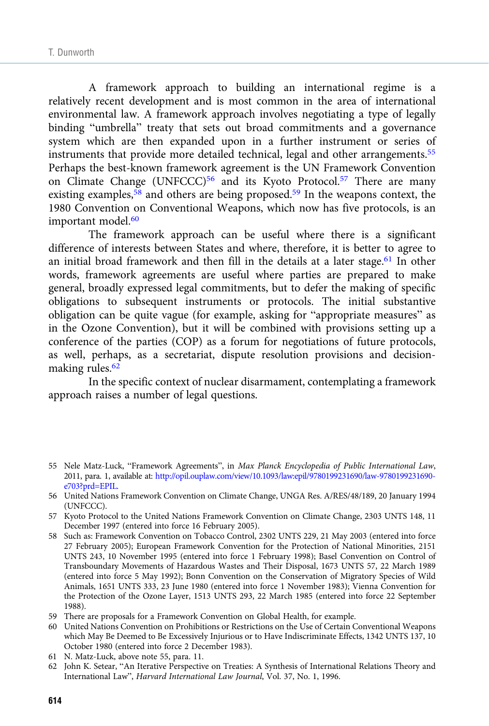A framework approach to building an international regime is a relatively recent development and is most common in the area of international environmental law. A framework approach involves negotiating a type of legally binding "umbrella" treaty that sets out broad commitments and a governance system which are then expanded upon in a further instrument or series of instruments that provide more detailed technical, legal and other arrangements.<sup>55</sup> Perhaps the best-known framework agreement is the UN Framework Convention on Climate Change (UNFCCC)<sup>56</sup> and its Kyoto Protocol.<sup>57</sup> There are many existing examples,  $58$  and others are being proposed.<sup>59</sup> In the weapons context, the 1980 Convention on Conventional Weapons, which now has five protocols, is an important model.<sup>60</sup>

The framework approach can be useful where there is a significant difference of interests between States and where, therefore, it is better to agree to an initial broad framework and then fill in the details at a later stage.<sup>61</sup> In other words, framework agreements are useful where parties are prepared to make general, broadly expressed legal commitments, but to defer the making of specific obligations to subsequent instruments or protocols. The initial substantive obligation can be quite vague (for example, asking for "appropriate measures" as in the Ozone Convention), but it will be combined with provisions setting up a conference of the parties (COP) as a forum for negotiations of future protocols, as well, perhaps, as a secretariat, dispute resolution provisions and decisionmaking rules.<sup>62</sup>

In the specific context of nuclear disarmament, contemplating a framework approach raises a number of legal questions.

61 N. Matz-Luck, above note 55, para. 11.

<sup>55</sup> Nele Matz-Luck, "Framework Agreements", in Max Planck Encyclopedia of Public International Law, 2011, para. 1, available at: http://opil.ouplaw.com/view/10.1093/law:epil/9780199231690/law-9780199231690 e703?prd=EPIL.

<sup>56</sup> United Nations Framework Convention on Climate Change, UNGA Res. A/RES/48/189, 20 January 1994 (UNFCCC).

<sup>57</sup> Kyoto Protocol to the United Nations Framework Convention on Climate Change, 2303 UNTS 148, 11 December 1997 (entered into force 16 February 2005).

<sup>58</sup> Such as: Framework Convention on Tobacco Control, 2302 UNTS 229, 21 May 2003 (entered into force 27 February 2005); European Framework Convention for the Protection of National Minorities, 2151 UNTS 243, 10 November 1995 (entered into force 1 February 1998); Basel Convention on Control of Transboundary Movements of Hazardous Wastes and Their Disposal, 1673 UNTS 57, 22 March 1989 (entered into force 5 May 1992); Bonn Convention on the Conservation of Migratory Species of Wild Animals, 1651 UNTS 333, 23 June 1980 (entered into force 1 November 1983); Vienna Convention for the Protection of the Ozone Layer, 1513 UNTS 293, 22 March 1985 (entered into force 22 September 1988).

<sup>59</sup> There are proposals for a Framework Convention on Global Health, for example.

<sup>60</sup> United Nations Convention on Prohibitions or Restrictions on the Use of Certain Conventional Weapons which May Be Deemed to Be Excessively Injurious or to Have Indiscriminate Effects, 1342 UNTS 137, 10 October 1980 (entered into force 2 December 1983).

<sup>62</sup> John K. Setear, "An Iterative Perspective on Treaties: A Synthesis of International Relations Theory and International Law", Harvard International Law Journal, Vol. 37, No. 1, 1996.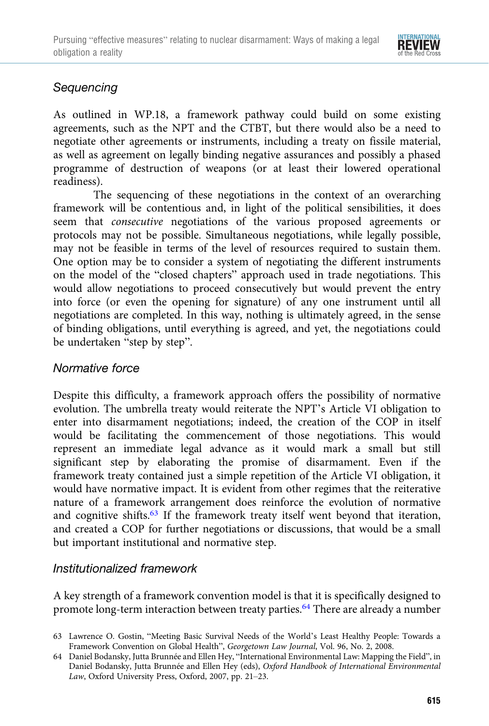

# Sequencing

As outlined in WP.18, a framework pathway could build on some existing agreements, such as the NPT and the CTBT, but there would also be a need to negotiate other agreements or instruments, including a treaty on fissile material, as well as agreement on legally binding negative assurances and possibly a phased programme of destruction of weapons (or at least their lowered operational readiness).

The sequencing of these negotiations in the context of an overarching framework will be contentious and, in light of the political sensibilities, it does seem that consecutive negotiations of the various proposed agreements or protocols may not be possible. Simultaneous negotiations, while legally possible, may not be feasible in terms of the level of resources required to sustain them. One option may be to consider a system of negotiating the different instruments on the model of the "closed chapters" approach used in trade negotiations. This would allow negotiations to proceed consecutively but would prevent the entry into force (or even the opening for signature) of any one instrument until all negotiations are completed. In this way, nothing is ultimately agreed, in the sense of binding obligations, until everything is agreed, and yet, the negotiations could be undertaken "step by step".

# Normative force

Despite this difficulty, a framework approach offers the possibility of normative evolution. The umbrella treaty would reiterate the NPT's Article VI obligation to enter into disarmament negotiations; indeed, the creation of the COP in itself would be facilitating the commencement of those negotiations. This would represent an immediate legal advance as it would mark a small but still significant step by elaborating the promise of disarmament. Even if the framework treaty contained just a simple repetition of the Article VI obligation, it would have normative impact. It is evident from other regimes that the reiterative nature of a framework arrangement does reinforce the evolution of normative and cognitive shifts.<sup>63</sup> If the framework treaty itself went beyond that iteration, and created a COP for further negotiations or discussions, that would be a small but important institutional and normative step.

## Institutionalized framework

A key strength of a framework convention model is that it is specifically designed to promote long-term interaction between treaty parties.64 There are already a number

<sup>63</sup> Lawrence O. Gostin, "Meeting Basic Survival Needs of the World's Least Healthy People: Towards a Framework Convention on Global Health", Georgetown Law Journal, Vol. 96, No. 2, 2008.

<sup>64</sup> Daniel Bodansky, Jutta Brunnée and Ellen Hey, "International Environmental Law: Mapping the Field", in Daniel Bodansky, Jutta Brunnée and Ellen Hey (eds), Oxford Handbook of International Environmental Law, Oxford University Press, Oxford, 2007, pp. 21–23.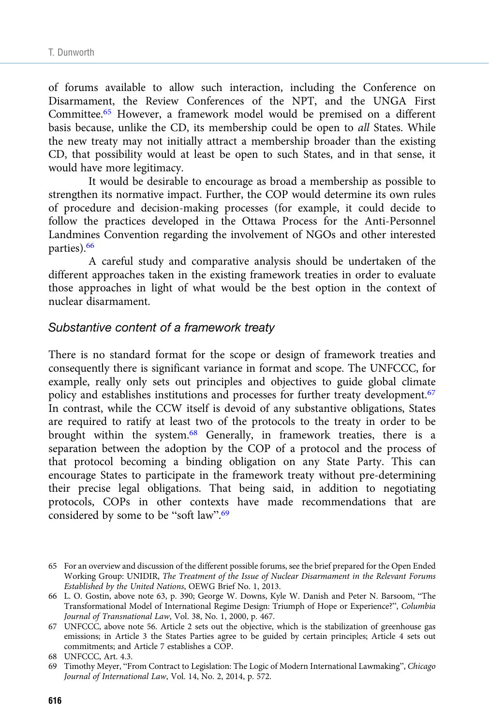of forums available to allow such interaction, including the Conference on Disarmament, the Review Conferences of the NPT, and the UNGA First Committee.<sup>65</sup> However, a framework model would be premised on a different basis because, unlike the CD, its membership could be open to all States. While the new treaty may not initially attract a membership broader than the existing CD, that possibility would at least be open to such States, and in that sense, it would have more legitimacy.

It would be desirable to encourage as broad a membership as possible to strengthen its normative impact. Further, the COP would determine its own rules of procedure and decision-making processes (for example, it could decide to follow the practices developed in the Ottawa Process for the Anti-Personnel Landmines Convention regarding the involvement of NGOs and other interested parties).66

A careful study and comparative analysis should be undertaken of the different approaches taken in the existing framework treaties in order to evaluate those approaches in light of what would be the best option in the context of nuclear disarmament.

#### Substantive content of a framework treaty

There is no standard format for the scope or design of framework treaties and consequently there is significant variance in format and scope. The UNFCCC, for example, really only sets out principles and objectives to guide global climate policy and establishes institutions and processes for further treaty development.<sup>67</sup> In contrast, while the CCW itself is devoid of any substantive obligations, States are required to ratify at least two of the protocols to the treaty in order to be brought within the system.68 Generally, in framework treaties, there is a separation between the adoption by the COP of a protocol and the process of that protocol becoming a binding obligation on any State Party. This can encourage States to participate in the framework treaty without pre-determining their precise legal obligations. That being said, in addition to negotiating protocols, COPs in other contexts have made recommendations that are considered by some to be "soft law".<sup>69</sup>

<sup>65</sup> For an overview and discussion of the different possible forums, see the brief prepared for the Open Ended Working Group: UNIDIR, The Treatment of the Issue of Nuclear Disarmament in the Relevant Forums Established by the United Nations, OEWG Brief No. 1, 2013.

<sup>66</sup> L. O. Gostin, above note 63, p. 390; George W. Downs, Kyle W. Danish and Peter N. Barsoom, "The Transformational Model of International Regime Design: Triumph of Hope or Experience?", Columbia Journal of Transnational Law, Vol. 38, No. 1, 2000, p. 467.

<sup>67</sup> UNFCCC, above note 56. Article 2 sets out the objective, which is the stabilization of greenhouse gas emissions; in Article 3 the States Parties agree to be guided by certain principles; Article 4 sets out commitments; and Article 7 establishes a COP.

<sup>68</sup> UNFCCC, Art. 4.3.

<sup>69</sup> Timothy Meyer, "From Contract to Legislation: The Logic of Modern International Lawmaking", Chicago Journal of International Law, Vol. 14, No. 2, 2014, p. 572.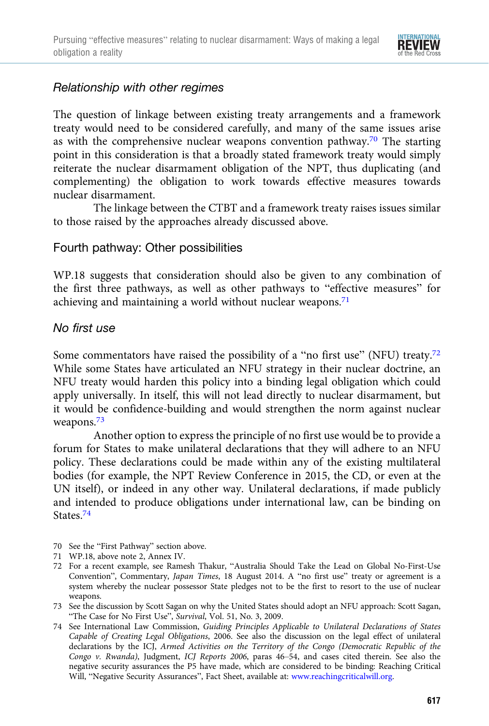

## Relationship with other regimes

The question of linkage between existing treaty arrangements and a framework treaty would need to be considered carefully, and many of the same issues arise as with the comprehensive nuclear weapons convention pathway.<sup>70</sup> The starting point in this consideration is that a broadly stated framework treaty would simply reiterate the nuclear disarmament obligation of the NPT, thus duplicating (and complementing) the obligation to work towards effective measures towards nuclear disarmament.

The linkage between the CTBT and a framework treaty raises issues similar to those raised by the approaches already discussed above.

## Fourth pathway: Other possibilities

WP.18 suggests that consideration should also be given to any combination of the first three pathways, as well as other pathways to "effective measures" for achieving and maintaining a world without nuclear weapons.<sup>71</sup>

## No first use

Some commentators have raised the possibility of a "no first use" (NFU) treaty.<sup>72</sup> While some States have articulated an NFU strategy in their nuclear doctrine, an NFU treaty would harden this policy into a binding legal obligation which could apply universally. In itself, this will not lead directly to nuclear disarmament, but it would be confidence-building and would strengthen the norm against nuclear weapons.73

Another option to express the principle of no first use would be to provide a forum for States to make unilateral declarations that they will adhere to an NFU policy. These declarations could be made within any of the existing multilateral bodies (for example, the NPT Review Conference in 2015, the CD, or even at the UN itself), or indeed in any other way. Unilateral declarations, if made publicly and intended to produce obligations under international law, can be binding on States.74

- 70 See the "First Pathway" section above.
- 71 WP.18, above note 2, Annex IV.
- 72 For a recent example, see Ramesh Thakur, "Australia Should Take the Lead on Global No-First-Use Convention", Commentary, Japan Times, 18 August 2014. A "no first use" treaty or agreement is a system whereby the nuclear possessor State pledges not to be the first to resort to the use of nuclear weapons.
- 73 See the discussion by Scott Sagan on why the United States should adopt an NFU approach: Scott Sagan, "The Case for No First Use", Survival, Vol. 51, No. 3, 2009.
- 74 See International Law Commission, Guiding Principles Applicable to Unilateral Declarations of States Capable of Creating Legal Obligations, 2006. See also the discussion on the legal effect of unilateral declarations by the ICJ, Armed Activities on the Territory of the Congo (Democratic Republic of the Congo v. Rwanda), Judgment, ICJ Reports 2006, paras 46–54, and cases cited therein. See also the negative security assurances the P5 have made, which are considered to be binding: Reaching Critical Will, "Negative Security Assurances", Fact Sheet, available at: www.reachingcriticalwill.org.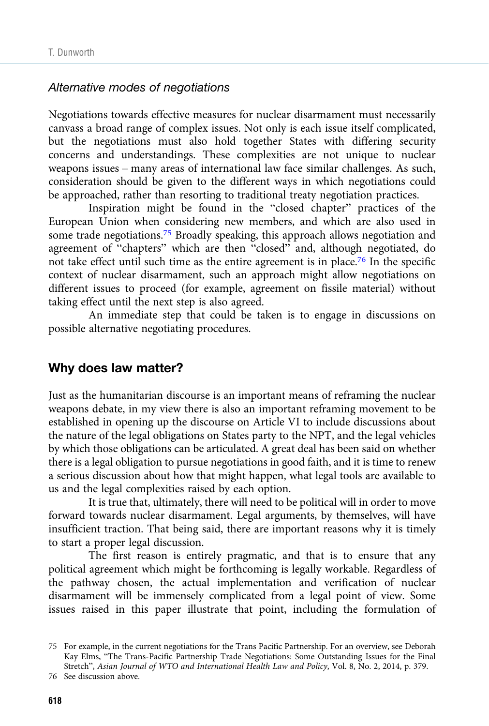#### Alternative modes of negotiations

Negotiations towards effective measures for nuclear disarmament must necessarily canvass a broad range of complex issues. Not only is each issue itself complicated, but the negotiations must also hold together States with differing security concerns and understandings. These complexities are not unique to nuclear weapons issues – many areas of international law face similar challenges. As such, consideration should be given to the different ways in which negotiations could be approached, rather than resorting to traditional treaty negotiation practices.

Inspiration might be found in the "closed chapter" practices of the European Union when considering new members, and which are also used in some trade negotiations.<sup>75</sup> Broadly speaking, this approach allows negotiation and agreement of "chapters" which are then "closed" and, although negotiated, do not take effect until such time as the entire agreement is in place.76 In the specific context of nuclear disarmament, such an approach might allow negotiations on different issues to proceed (for example, agreement on fissile material) without taking effect until the next step is also agreed.

An immediate step that could be taken is to engage in discussions on possible alternative negotiating procedures.

#### Why does law matter?

Just as the humanitarian discourse is an important means of reframing the nuclear weapons debate, in my view there is also an important reframing movement to be established in opening up the discourse on Article VI to include discussions about the nature of the legal obligations on States party to the NPT, and the legal vehicles by which those obligations can be articulated. A great deal has been said on whether there is a legal obligation to pursue negotiations in good faith, and it is time to renew a serious discussion about how that might happen, what legal tools are available to us and the legal complexities raised by each option.

It is true that, ultimately, there will need to be political will in order to move forward towards nuclear disarmament. Legal arguments, by themselves, will have insufficient traction. That being said, there are important reasons why it is timely to start a proper legal discussion.

The first reason is entirely pragmatic, and that is to ensure that any political agreement which might be forthcoming is legally workable. Regardless of the pathway chosen, the actual implementation and verification of nuclear disarmament will be immensely complicated from a legal point of view. Some issues raised in this paper illustrate that point, including the formulation of

76 See discussion above.

<sup>75</sup> For example, in the current negotiations for the Trans Pacific Partnership. For an overview, see Deborah Kay Elms, "The Trans-Pacific Partnership Trade Negotiations: Some Outstanding Issues for the Final Stretch", Asian Journal of WTO and International Health Law and Policy, Vol. 8, No. 2, 2014, p. 379.